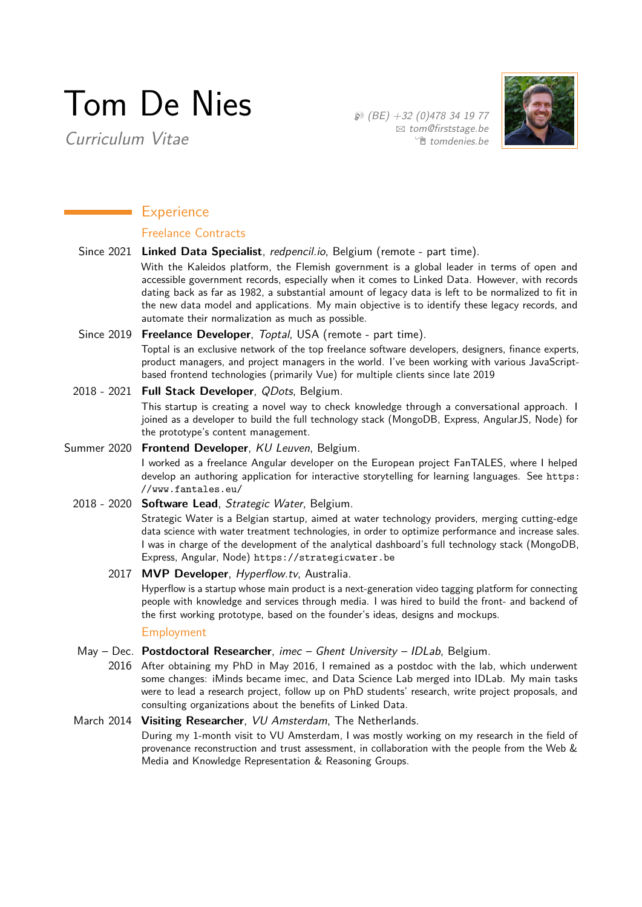# Tom De Nies

Curriculum Vitae

 $\circledR$  (BE) +32 (0)478 34 19 77  $\boxtimes$  [tom@firststage.be](mailto:tom@firststage.be) Í [tomdenies.be](http://tomdenies.be)



# **Experience**

## Freelance Contracts

Since 2021 **Linked Data Specialist**, redpencil.io, Belgium (remote - part time).

With the Kaleidos platform, the Flemish government is a global leader in terms of open and accessible government records, especially when it comes to Linked Data. However, with records dating back as far as 1982, a substantial amount of legacy data is left to be normalized to fit in the new data model and applications. My main objective is to identify these legacy records, and automate their normalization as much as possible.

#### Since 2019 **Freelance Developer**, Toptal, USA (remote - part time).

Toptal is an exclusive network of the top freelance software developers, designers, finance experts, product managers, and project managers in the world. I've been working with various JavaScriptbased frontend technologies (primarily Vue) for multiple clients since late 2019

# 2018 - 2021 **Full Stack Developer**, QDots, Belgium.

This startup is creating a novel way to check knowledge through a conversational approach. I joined as a developer to build the full technology stack (MongoDB, Express, AngularJS, Node) for the prototype's content management.

#### Summer 2020 **Frontend Developer**, KU Leuven, Belgium.

I worked as a freelance Angular developer on the European project FanTALES, where I helped develop an authoring application for interactive storytelling for learning languages. See [https:](https://www.fantales.eu/) [//www.fantales.eu/](https://www.fantales.eu/)

#### 2018 - 2020 **Software Lead**, Strategic Water, Belgium.

Strategic Water is a Belgian startup, aimed at water technology providers, merging cutting-edge data science with water treatment technologies, in order to optimize performance and increase sales. I was in charge of the development of the analytical dashboard's full technology stack (MongoDB, Express, Angular, Node) <https://strategicwater.be>

#### 2017 **MVP Developer**, Hyperflow.tv, Australia.

Hyperflow is a startup whose main product is a next-generation video tagging platform for connecting people with knowledge and services through media. I was hired to build the front- and backend of the first working prototype, based on the founder's ideas, designs and mockups.

#### Employment

#### May - Dec. Postdoctoral Researcher, imec - Ghent University - IDLab, Belgium.

2016 After obtaining my PhD in May 2016, I remained as a postdoc with the lab, which underwent some changes: iMinds became imec, and Data Science Lab merged into IDLab. My main tasks were to lead a research project, follow up on PhD students' research, write project proposals, and consulting organizations about the benefits of Linked Data.

#### March 2014 **Visiting Researcher**, VU Amsterdam, The Netherlands.

During my 1-month visit to VU Amsterdam, I was mostly working on my research in the field of provenance reconstruction and trust assessment, in collaboration with the people from the Web & Media and Knowledge Representation & Reasoning Groups.